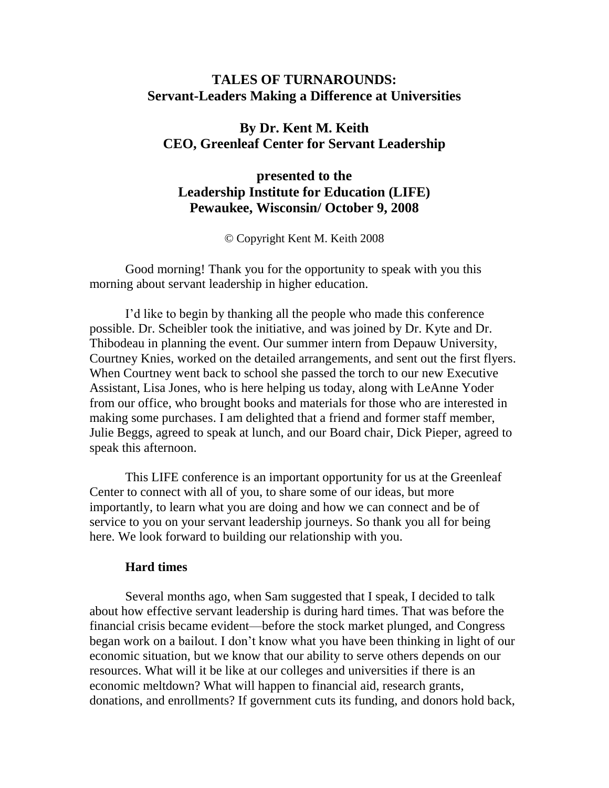# **TALES OF TURNAROUNDS: Servant-Leaders Making a Difference at Universities**

# **By Dr. Kent M. Keith CEO, Greenleaf Center for Servant Leadership**

## **presented to the Leadership Institute for Education (LIFE) Pewaukee, Wisconsin/ October 9, 2008**

© Copyright Kent M. Keith 2008

Good morning! Thank you for the opportunity to speak with you this morning about servant leadership in higher education.

I'd like to begin by thanking all the people who made this conference possible. Dr. Scheibler took the initiative, and was joined by Dr. Kyte and Dr. Thibodeau in planning the event. Our summer intern from Depauw University, Courtney Knies, worked on the detailed arrangements, and sent out the first flyers. When Courtney went back to school she passed the torch to our new Executive Assistant, Lisa Jones, who is here helping us today, along with LeAnne Yoder from our office, who brought books and materials for those who are interested in making some purchases. I am delighted that a friend and former staff member, Julie Beggs, agreed to speak at lunch, and our Board chair, Dick Pieper, agreed to speak this afternoon.

This LIFE conference is an important opportunity for us at the Greenleaf Center to connect with all of you, to share some of our ideas, but more importantly, to learn what you are doing and how we can connect and be of service to you on your servant leadership journeys. So thank you all for being here. We look forward to building our relationship with you.

#### **Hard times**

Several months ago, when Sam suggested that I speak, I decided to talk about how effective servant leadership is during hard times. That was before the financial crisis became evident—before the stock market plunged, and Congress began work on a bailout. I don't know what you have been thinking in light of our economic situation, but we know that our ability to serve others depends on our resources. What will it be like at our colleges and universities if there is an economic meltdown? What will happen to financial aid, research grants, donations, and enrollments? If government cuts its funding, and donors hold back,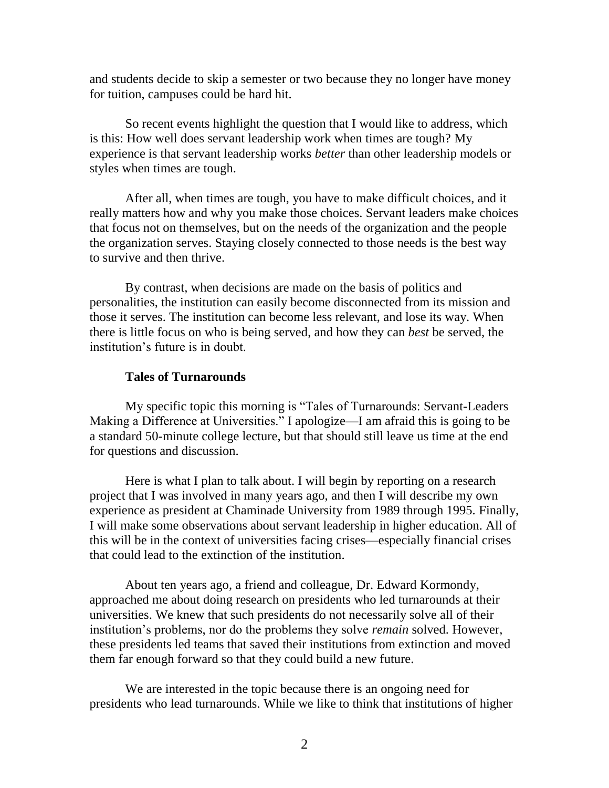and students decide to skip a semester or two because they no longer have money for tuition, campuses could be hard hit.

So recent events highlight the question that I would like to address, which is this: How well does servant leadership work when times are tough? My experience is that servant leadership works *better* than other leadership models or styles when times are tough.

After all, when times are tough, you have to make difficult choices, and it really matters how and why you make those choices. Servant leaders make choices that focus not on themselves, but on the needs of the organization and the people the organization serves. Staying closely connected to those needs is the best way to survive and then thrive.

By contrast, when decisions are made on the basis of politics and personalities, the institution can easily become disconnected from its mission and those it serves. The institution can become less relevant, and lose its way. When there is little focus on who is being served, and how they can *best* be served, the institution's future is in doubt.

## **Tales of Turnarounds**

My specific topic this morning is "Tales of Turnarounds: Servant-Leaders Making a Difference at Universities." I apologize—I am afraid this is going to be a standard 50-minute college lecture, but that should still leave us time at the end for questions and discussion.

Here is what I plan to talk about. I will begin by reporting on a research project that I was involved in many years ago, and then I will describe my own experience as president at Chaminade University from 1989 through 1995. Finally, I will make some observations about servant leadership in higher education. All of this will be in the context of universities facing crises—especially financial crises that could lead to the extinction of the institution.

About ten years ago, a friend and colleague, Dr. Edward Kormondy, approached me about doing research on presidents who led turnarounds at their universities. We knew that such presidents do not necessarily solve all of their institution's problems, nor do the problems they solve *remain* solved. However, these presidents led teams that saved their institutions from extinction and moved them far enough forward so that they could build a new future.

We are interested in the topic because there is an ongoing need for presidents who lead turnarounds. While we like to think that institutions of higher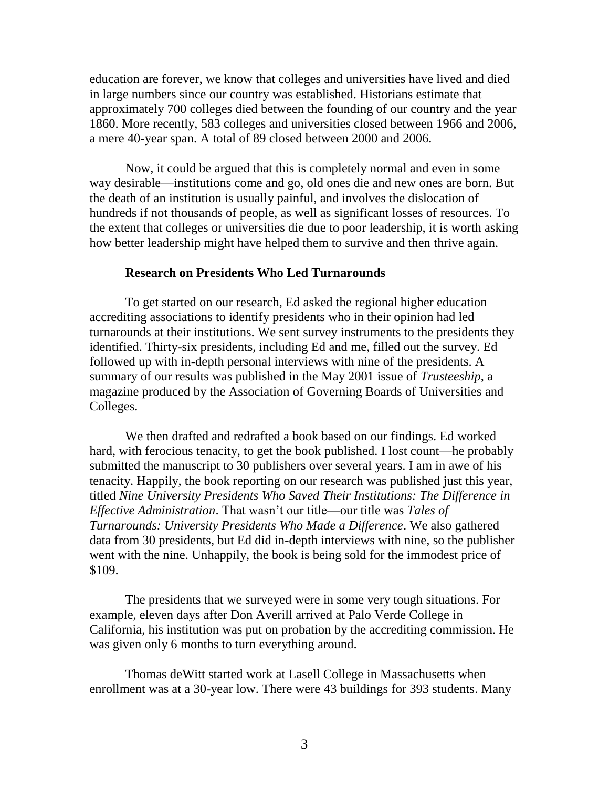education are forever, we know that colleges and universities have lived and died in large numbers since our country was established. Historians estimate that approximately 700 colleges died between the founding of our country and the year 1860. More recently, 583 colleges and universities closed between 1966 and 2006, a mere 40-year span. A total of 89 closed between 2000 and 2006.

Now, it could be argued that this is completely normal and even in some way desirable—institutions come and go, old ones die and new ones are born. But the death of an institution is usually painful, and involves the dislocation of hundreds if not thousands of people, as well as significant losses of resources. To the extent that colleges or universities die due to poor leadership, it is worth asking how better leadership might have helped them to survive and then thrive again.

### **Research on Presidents Who Led Turnarounds**

To get started on our research, Ed asked the regional higher education accrediting associations to identify presidents who in their opinion had led turnarounds at their institutions. We sent survey instruments to the presidents they identified. Thirty-six presidents, including Ed and me, filled out the survey. Ed followed up with in-depth personal interviews with nine of the presidents. A summary of our results was published in the May 2001 issue of *Trusteeship*, a magazine produced by the Association of Governing Boards of Universities and Colleges.

We then drafted and redrafted a book based on our findings. Ed worked hard, with ferocious tenacity, to get the book published. I lost count—he probably submitted the manuscript to 30 publishers over several years. I am in awe of his tenacity. Happily, the book reporting on our research was published just this year, titled *Nine University Presidents Who Saved Their Institutions: The Difference in Effective Administration*. That wasn't our title—our title was *Tales of Turnarounds: University Presidents Who Made a Difference*. We also gathered data from 30 presidents, but Ed did in-depth interviews with nine, so the publisher went with the nine. Unhappily, the book is being sold for the immodest price of \$109.

The presidents that we surveyed were in some very tough situations. For example, eleven days after Don Averill arrived at Palo Verde College in California, his institution was put on probation by the accrediting commission. He was given only 6 months to turn everything around.

Thomas deWitt started work at Lasell College in Massachusetts when enrollment was at a 30-year low. There were 43 buildings for 393 students. Many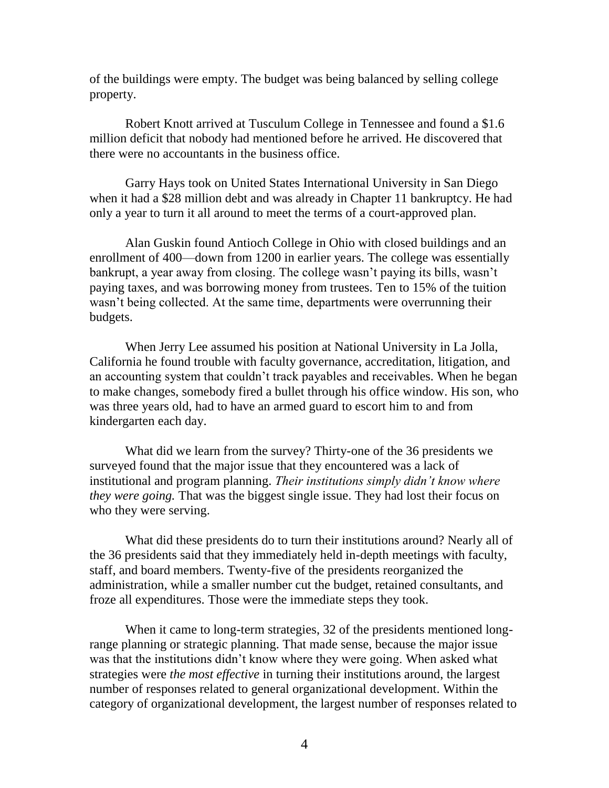of the buildings were empty. The budget was being balanced by selling college property.

Robert Knott arrived at Tusculum College in Tennessee and found a \$1.6 million deficit that nobody had mentioned before he arrived. He discovered that there were no accountants in the business office.

Garry Hays took on United States International University in San Diego when it had a \$28 million debt and was already in Chapter 11 bankruptcy. He had only a year to turn it all around to meet the terms of a court-approved plan.

Alan Guskin found Antioch College in Ohio with closed buildings and an enrollment of 400—down from 1200 in earlier years. The college was essentially bankrupt, a year away from closing. The college wasn't paying its bills, wasn't paying taxes, and was borrowing money from trustees. Ten to 15% of the tuition wasn't being collected. At the same time, departments were overrunning their budgets.

When Jerry Lee assumed his position at National University in La Jolla, California he found trouble with faculty governance, accreditation, litigation, and an accounting system that couldn't track payables and receivables. When he began to make changes, somebody fired a bullet through his office window. His son, who was three years old, had to have an armed guard to escort him to and from kindergarten each day.

What did we learn from the survey? Thirty-one of the 36 presidents we surveyed found that the major issue that they encountered was a lack of institutional and program planning. *Their institutions simply didn't know where they were going.* That was the biggest single issue. They had lost their focus on who they were serving.

What did these presidents do to turn their institutions around? Nearly all of the 36 presidents said that they immediately held in-depth meetings with faculty, staff, and board members. Twenty-five of the presidents reorganized the administration, while a smaller number cut the budget, retained consultants, and froze all expenditures. Those were the immediate steps they took.

When it came to long-term strategies, 32 of the presidents mentioned longrange planning or strategic planning. That made sense, because the major issue was that the institutions didn't know where they were going. When asked what strategies were *the most effective* in turning their institutions around, the largest number of responses related to general organizational development. Within the category of organizational development, the largest number of responses related to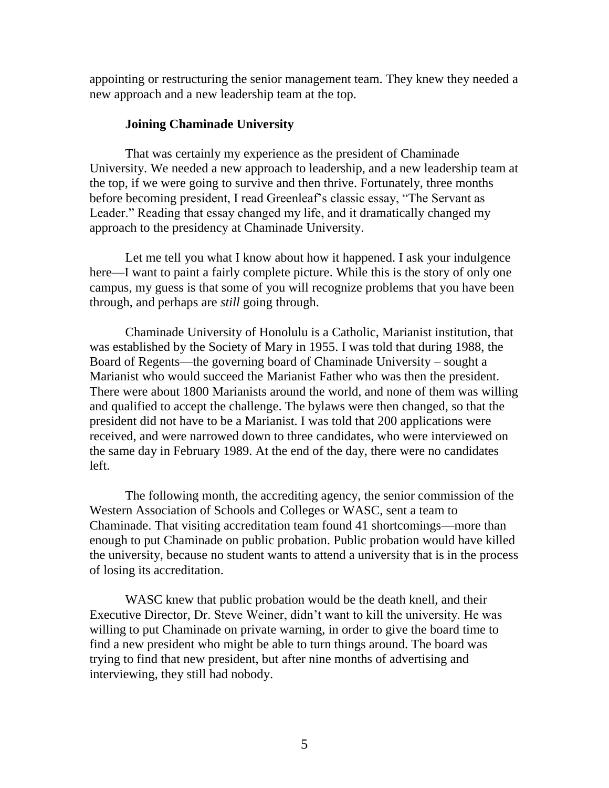appointing or restructuring the senior management team. They knew they needed a new approach and a new leadership team at the top.

## **Joining Chaminade University**

That was certainly my experience as the president of Chaminade University. We needed a new approach to leadership, and a new leadership team at the top, if we were going to survive and then thrive. Fortunately, three months before becoming president, I read Greenleaf's classic essay, "The Servant as Leader." Reading that essay changed my life, and it dramatically changed my approach to the presidency at Chaminade University.

Let me tell you what I know about how it happened. I ask your indulgence here—I want to paint a fairly complete picture. While this is the story of only one campus, my guess is that some of you will recognize problems that you have been through, and perhaps are *still* going through.

Chaminade University of Honolulu is a Catholic, Marianist institution, that was established by the Society of Mary in 1955. I was told that during 1988, the Board of Regents—the governing board of Chaminade University – sought a Marianist who would succeed the Marianist Father who was then the president. There were about 1800 Marianists around the world, and none of them was willing and qualified to accept the challenge. The bylaws were then changed, so that the president did not have to be a Marianist. I was told that 200 applications were received, and were narrowed down to three candidates, who were interviewed on the same day in February 1989. At the end of the day, there were no candidates left.

The following month, the accrediting agency, the senior commission of the Western Association of Schools and Colleges or WASC, sent a team to Chaminade. That visiting accreditation team found 41 shortcomings—more than enough to put Chaminade on public probation. Public probation would have killed the university, because no student wants to attend a university that is in the process of losing its accreditation.

WASC knew that public probation would be the death knell, and their Executive Director, Dr. Steve Weiner, didn't want to kill the university. He was willing to put Chaminade on private warning, in order to give the board time to find a new president who might be able to turn things around. The board was trying to find that new president, but after nine months of advertising and interviewing, they still had nobody.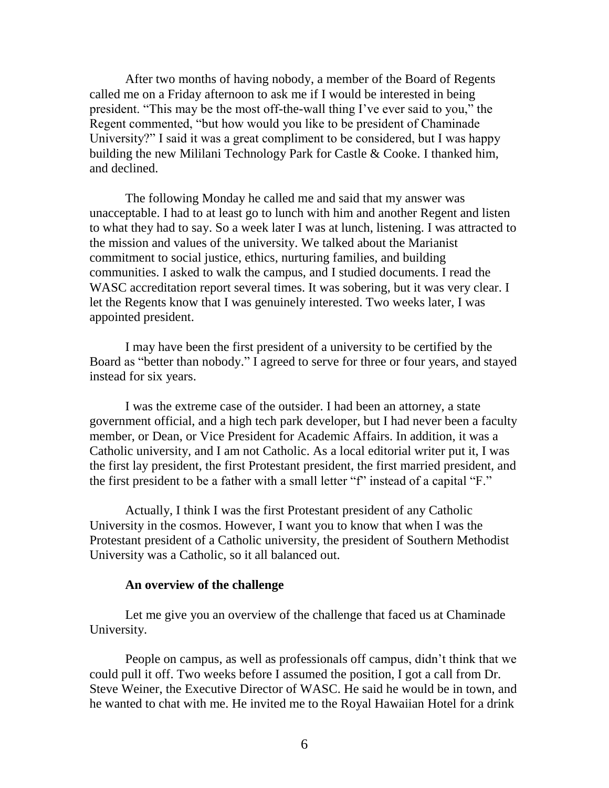After two months of having nobody, a member of the Board of Regents called me on a Friday afternoon to ask me if I would be interested in being president. "This may be the most off-the-wall thing I've ever said to you," the Regent commented, "but how would you like to be president of Chaminade University?" I said it was a great compliment to be considered, but I was happy building the new Mililani Technology Park for Castle & Cooke. I thanked him, and declined.

The following Monday he called me and said that my answer was unacceptable. I had to at least go to lunch with him and another Regent and listen to what they had to say. So a week later I was at lunch, listening. I was attracted to the mission and values of the university. We talked about the Marianist commitment to social justice, ethics, nurturing families, and building communities. I asked to walk the campus, and I studied documents. I read the WASC accreditation report several times. It was sobering, but it was very clear. I let the Regents know that I was genuinely interested. Two weeks later, I was appointed president.

I may have been the first president of a university to be certified by the Board as "better than nobody." I agreed to serve for three or four years, and stayed instead for six years.

I was the extreme case of the outsider. I had been an attorney, a state government official, and a high tech park developer, but I had never been a faculty member, or Dean, or Vice President for Academic Affairs. In addition, it was a Catholic university, and I am not Catholic. As a local editorial writer put it, I was the first lay president, the first Protestant president, the first married president, and the first president to be a father with a small letter "f" instead of a capital "F."

Actually, I think I was the first Protestant president of any Catholic University in the cosmos. However, I want you to know that when I was the Protestant president of a Catholic university, the president of Southern Methodist University was a Catholic, so it all balanced out.

## **An overview of the challenge**

Let me give you an overview of the challenge that faced us at Chaminade University.

People on campus, as well as professionals off campus, didn't think that we could pull it off. Two weeks before I assumed the position, I got a call from Dr. Steve Weiner, the Executive Director of WASC. He said he would be in town, and he wanted to chat with me. He invited me to the Royal Hawaiian Hotel for a drink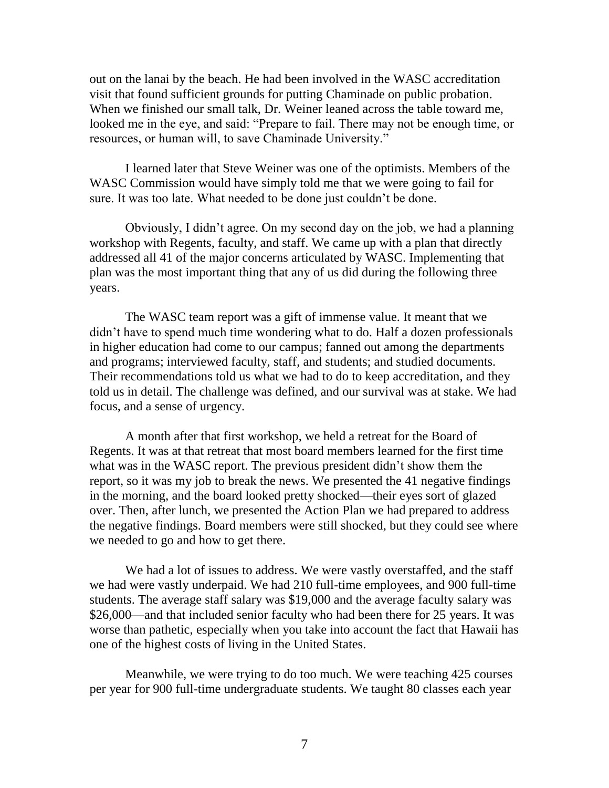out on the lanai by the beach. He had been involved in the WASC accreditation visit that found sufficient grounds for putting Chaminade on public probation. When we finished our small talk, Dr. Weiner leaned across the table toward me, looked me in the eye, and said: "Prepare to fail. There may not be enough time, or resources, or human will, to save Chaminade University."

I learned later that Steve Weiner was one of the optimists. Members of the WASC Commission would have simply told me that we were going to fail for sure. It was too late. What needed to be done just couldn't be done.

Obviously, I didn't agree. On my second day on the job, we had a planning workshop with Regents, faculty, and staff. We came up with a plan that directly addressed all 41 of the major concerns articulated by WASC. Implementing that plan was the most important thing that any of us did during the following three years.

The WASC team report was a gift of immense value. It meant that we didn't have to spend much time wondering what to do. Half a dozen professionals in higher education had come to our campus; fanned out among the departments and programs; interviewed faculty, staff, and students; and studied documents. Their recommendations told us what we had to do to keep accreditation, and they told us in detail. The challenge was defined, and our survival was at stake. We had focus, and a sense of urgency.

A month after that first workshop, we held a retreat for the Board of Regents. It was at that retreat that most board members learned for the first time what was in the WASC report. The previous president didn't show them the report, so it was my job to break the news. We presented the 41 negative findings in the morning, and the board looked pretty shocked—their eyes sort of glazed over. Then, after lunch, we presented the Action Plan we had prepared to address the negative findings. Board members were still shocked, but they could see where we needed to go and how to get there.

We had a lot of issues to address. We were vastly overstaffed, and the staff we had were vastly underpaid. We had 210 full-time employees, and 900 full-time students. The average staff salary was \$19,000 and the average faculty salary was \$26,000—and that included senior faculty who had been there for 25 years. It was worse than pathetic, especially when you take into account the fact that Hawaii has one of the highest costs of living in the United States.

Meanwhile, we were trying to do too much. We were teaching 425 courses per year for 900 full-time undergraduate students. We taught 80 classes each year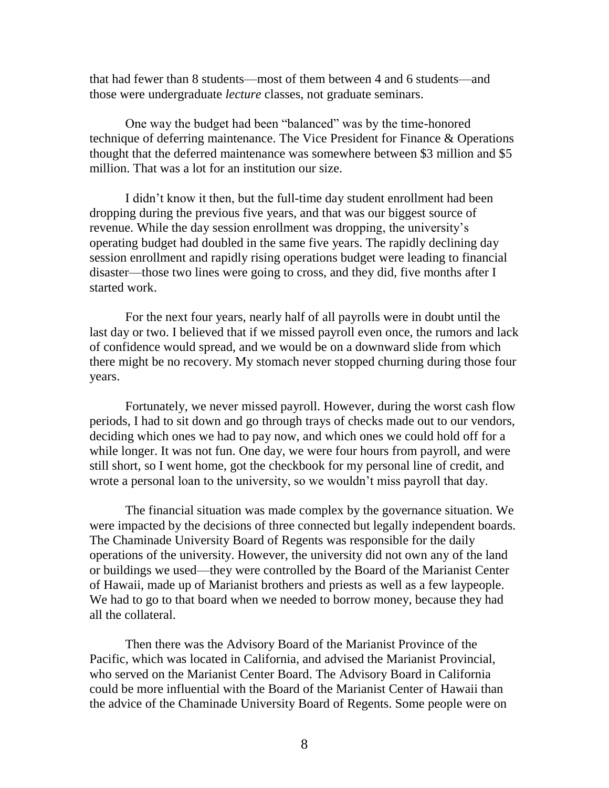that had fewer than 8 students—most of them between 4 and 6 students—and those were undergraduate *lecture* classes, not graduate seminars.

One way the budget had been "balanced" was by the time-honored technique of deferring maintenance. The Vice President for Finance & Operations thought that the deferred maintenance was somewhere between \$3 million and \$5 million. That was a lot for an institution our size.

I didn't know it then, but the full-time day student enrollment had been dropping during the previous five years, and that was our biggest source of revenue. While the day session enrollment was dropping, the university's operating budget had doubled in the same five years. The rapidly declining day session enrollment and rapidly rising operations budget were leading to financial disaster—those two lines were going to cross, and they did, five months after I started work.

For the next four years, nearly half of all payrolls were in doubt until the last day or two. I believed that if we missed payroll even once, the rumors and lack of confidence would spread, and we would be on a downward slide from which there might be no recovery. My stomach never stopped churning during those four years.

Fortunately, we never missed payroll. However, during the worst cash flow periods, I had to sit down and go through trays of checks made out to our vendors, deciding which ones we had to pay now, and which ones we could hold off for a while longer. It was not fun. One day, we were four hours from payroll, and were still short, so I went home, got the checkbook for my personal line of credit, and wrote a personal loan to the university, so we wouldn't miss payroll that day.

The financial situation was made complex by the governance situation. We were impacted by the decisions of three connected but legally independent boards. The Chaminade University Board of Regents was responsible for the daily operations of the university. However, the university did not own any of the land or buildings we used—they were controlled by the Board of the Marianist Center of Hawaii, made up of Marianist brothers and priests as well as a few laypeople. We had to go to that board when we needed to borrow money, because they had all the collateral.

Then there was the Advisory Board of the Marianist Province of the Pacific, which was located in California, and advised the Marianist Provincial, who served on the Marianist Center Board. The Advisory Board in California could be more influential with the Board of the Marianist Center of Hawaii than the advice of the Chaminade University Board of Regents. Some people were on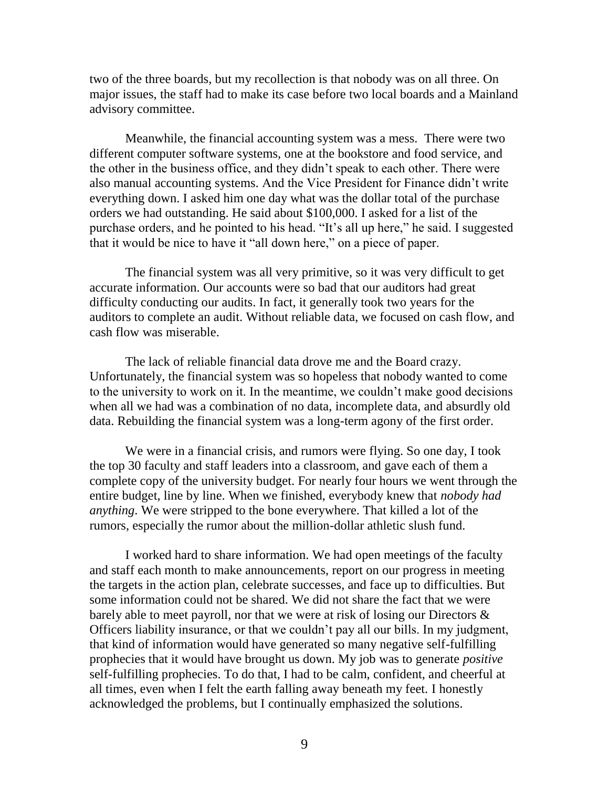two of the three boards, but my recollection is that nobody was on all three. On major issues, the staff had to make its case before two local boards and a Mainland advisory committee.

Meanwhile, the financial accounting system was a mess. There were two different computer software systems, one at the bookstore and food service, and the other in the business office, and they didn't speak to each other. There were also manual accounting systems. And the Vice President for Finance didn't write everything down. I asked him one day what was the dollar total of the purchase orders we had outstanding. He said about \$100,000. I asked for a list of the purchase orders, and he pointed to his head. "It's all up here," he said. I suggested that it would be nice to have it "all down here," on a piece of paper.

The financial system was all very primitive, so it was very difficult to get accurate information. Our accounts were so bad that our auditors had great difficulty conducting our audits. In fact, it generally took two years for the auditors to complete an audit. Without reliable data, we focused on cash flow, and cash flow was miserable.

The lack of reliable financial data drove me and the Board crazy. Unfortunately, the financial system was so hopeless that nobody wanted to come to the university to work on it. In the meantime, we couldn't make good decisions when all we had was a combination of no data, incomplete data, and absurdly old data. Rebuilding the financial system was a long-term agony of the first order.

We were in a financial crisis, and rumors were flying. So one day, I took the top 30 faculty and staff leaders into a classroom, and gave each of them a complete copy of the university budget. For nearly four hours we went through the entire budget, line by line. When we finished, everybody knew that *nobody had anything*. We were stripped to the bone everywhere. That killed a lot of the rumors, especially the rumor about the million-dollar athletic slush fund.

I worked hard to share information. We had open meetings of the faculty and staff each month to make announcements, report on our progress in meeting the targets in the action plan, celebrate successes, and face up to difficulties. But some information could not be shared. We did not share the fact that we were barely able to meet payroll, nor that we were at risk of losing our Directors & Officers liability insurance, or that we couldn't pay all our bills. In my judgment, that kind of information would have generated so many negative self-fulfilling prophecies that it would have brought us down. My job was to generate *positive* self-fulfilling prophecies. To do that, I had to be calm, confident, and cheerful at all times, even when I felt the earth falling away beneath my feet. I honestly acknowledged the problems, but I continually emphasized the solutions.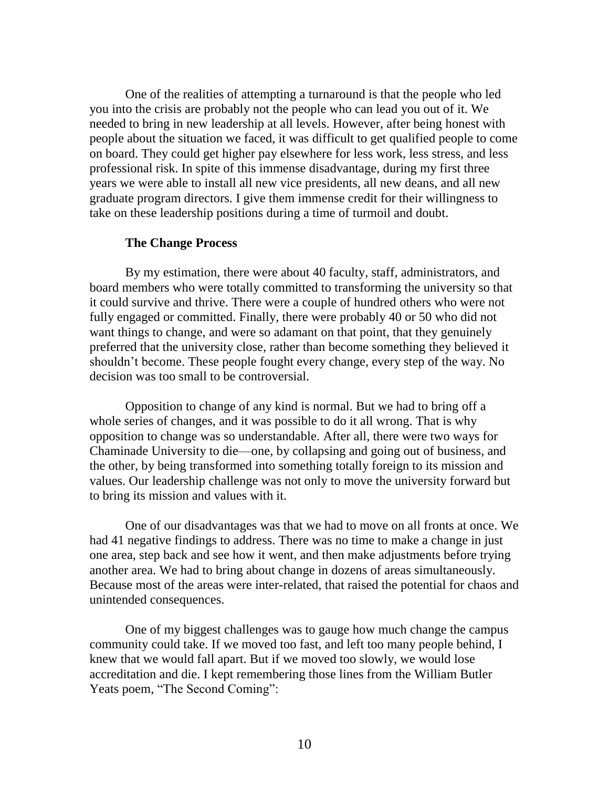One of the realities of attempting a turnaround is that the people who led you into the crisis are probably not the people who can lead you out of it. We needed to bring in new leadership at all levels. However, after being honest with people about the situation we faced, it was difficult to get qualified people to come on board. They could get higher pay elsewhere for less work, less stress, and less professional risk. In spite of this immense disadvantage, during my first three years we were able to install all new vice presidents, all new deans, and all new graduate program directors. I give them immense credit for their willingness to take on these leadership positions during a time of turmoil and doubt.

## **The Change Process**

By my estimation, there were about 40 faculty, staff, administrators, and board members who were totally committed to transforming the university so that it could survive and thrive. There were a couple of hundred others who were not fully engaged or committed. Finally, there were probably 40 or 50 who did not want things to change, and were so adamant on that point, that they genuinely preferred that the university close, rather than become something they believed it shouldn't become. These people fought every change, every step of the way. No decision was too small to be controversial.

Opposition to change of any kind is normal. But we had to bring off a whole series of changes, and it was possible to do it all wrong. That is why opposition to change was so understandable. After all, there were two ways for Chaminade University to die—one, by collapsing and going out of business, and the other, by being transformed into something totally foreign to its mission and values. Our leadership challenge was not only to move the university forward but to bring its mission and values with it.

One of our disadvantages was that we had to move on all fronts at once. We had 41 negative findings to address. There was no time to make a change in just one area, step back and see how it went, and then make adjustments before trying another area. We had to bring about change in dozens of areas simultaneously. Because most of the areas were inter-related, that raised the potential for chaos and unintended consequences.

One of my biggest challenges was to gauge how much change the campus community could take. If we moved too fast, and left too many people behind, I knew that we would fall apart. But if we moved too slowly, we would lose accreditation and die. I kept remembering those lines from the William Butler Yeats poem, "The Second Coming":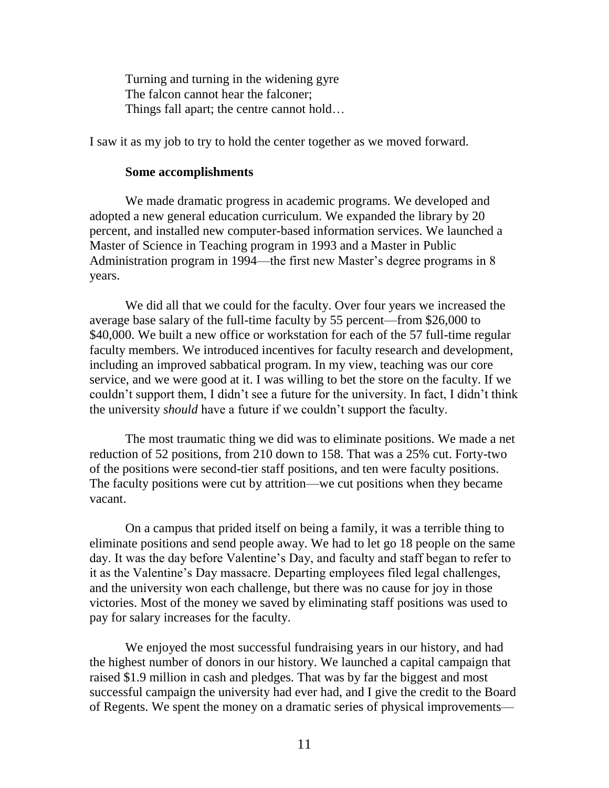Turning and turning in the widening gyre The falcon cannot hear the falconer; Things fall apart; the centre cannot hold…

I saw it as my job to try to hold the center together as we moved forward.

### **Some accomplishments**

We made dramatic progress in academic programs. We developed and adopted a new general education curriculum. We expanded the library by 20 percent, and installed new computer-based information services. We launched a Master of Science in Teaching program in 1993 and a Master in Public Administration program in 1994—the first new Master's degree programs in 8 years.

We did all that we could for the faculty. Over four years we increased the average base salary of the full-time faculty by 55 percent—from \$26,000 to \$40,000. We built a new office or workstation for each of the 57 full-time regular faculty members. We introduced incentives for faculty research and development, including an improved sabbatical program. In my view, teaching was our core service, and we were good at it. I was willing to bet the store on the faculty. If we couldn't support them, I didn't see a future for the university. In fact, I didn't think the university *should* have a future if we couldn't support the faculty.

The most traumatic thing we did was to eliminate positions. We made a net reduction of 52 positions, from 210 down to 158. That was a 25% cut. Forty-two of the positions were second-tier staff positions, and ten were faculty positions. The faculty positions were cut by attrition—we cut positions when they became vacant.

On a campus that prided itself on being a family, it was a terrible thing to eliminate positions and send people away. We had to let go 18 people on the same day. It was the day before Valentine's Day, and faculty and staff began to refer to it as the Valentine's Day massacre. Departing employees filed legal challenges, and the university won each challenge, but there was no cause for joy in those victories. Most of the money we saved by eliminating staff positions was used to pay for salary increases for the faculty.

We enjoyed the most successful fundraising years in our history, and had the highest number of donors in our history. We launched a capital campaign that raised \$1.9 million in cash and pledges. That was by far the biggest and most successful campaign the university had ever had, and I give the credit to the Board of Regents. We spent the money on a dramatic series of physical improvements—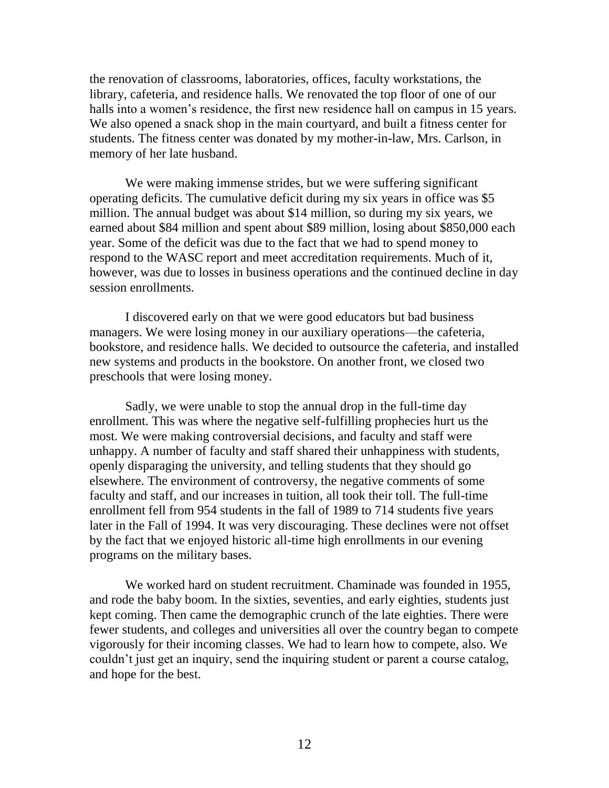the renovation of classrooms, laboratories, offices, faculty workstations, the library, cafeteria, and residence halls. We renovated the top floor of one of our halls into a women's residence, the first new residence hall on campus in 15 years. We also opened a snack shop in the main courtyard, and built a fitness center for students. The fitness center was donated by my mother-in-law, Mrs. Carlson, in memory of her late husband.

We were making immense strides, but we were suffering significant operating deficits. The cumulative deficit during my six years in office was \$5 million. The annual budget was about \$14 million, so during my six years, we earned about \$84 million and spent about \$89 million, losing about \$850,000 each year. Some of the deficit was due to the fact that we had to spend money to respond to the WASC report and meet accreditation requirements. Much of it, however, was due to losses in business operations and the continued decline in day session enrollments.

I discovered early on that we were good educators but bad business managers. We were losing money in our auxiliary operations—the cafeteria, bookstore, and residence halls. We decided to outsource the cafeteria, and installed new systems and products in the bookstore. On another front, we closed two preschools that were losing money.

Sadly, we were unable to stop the annual drop in the full-time day enrollment. This was where the negative self-fulfilling prophecies hurt us the most. We were making controversial decisions, and faculty and staff were unhappy. A number of faculty and staff shared their unhappiness with students, openly disparaging the university, and telling students that they should go elsewhere. The environment of controversy, the negative comments of some faculty and staff, and our increases in tuition, all took their toll. The full-time enrollment fell from 954 students in the fall of 1989 to 714 students five years later in the Fall of 1994. It was very discouraging. These declines were not offset by the fact that we enjoyed historic all-time high enrollments in our evening programs on the military bases.

We worked hard on student recruitment. Chaminade was founded in 1955, and rode the baby boom. In the sixties, seventies, and early eighties, students just kept coming. Then came the demographic crunch of the late eighties. There were fewer students, and colleges and universities all over the country began to compete vigorously for their incoming classes. We had to learn how to compete, also. We couldn't just get an inquiry, send the inquiring student or parent a course catalog, and hope for the best.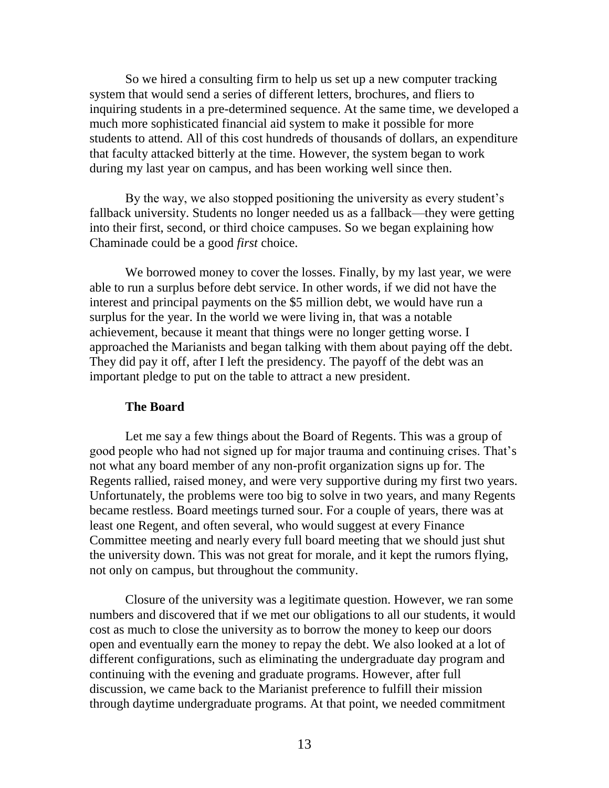So we hired a consulting firm to help us set up a new computer tracking system that would send a series of different letters, brochures, and fliers to inquiring students in a pre-determined sequence. At the same time, we developed a much more sophisticated financial aid system to make it possible for more students to attend. All of this cost hundreds of thousands of dollars, an expenditure that faculty attacked bitterly at the time. However, the system began to work during my last year on campus, and has been working well since then.

By the way, we also stopped positioning the university as every student's fallback university. Students no longer needed us as a fallback—they were getting into their first, second, or third choice campuses. So we began explaining how Chaminade could be a good *first* choice.

We borrowed money to cover the losses. Finally, by my last year, we were able to run a surplus before debt service. In other words, if we did not have the interest and principal payments on the \$5 million debt, we would have run a surplus for the year. In the world we were living in, that was a notable achievement, because it meant that things were no longer getting worse. I approached the Marianists and began talking with them about paying off the debt. They did pay it off, after I left the presidency. The payoff of the debt was an important pledge to put on the table to attract a new president.

#### **The Board**

Let me say a few things about the Board of Regents. This was a group of good people who had not signed up for major trauma and continuing crises. That's not what any board member of any non-profit organization signs up for. The Regents rallied, raised money, and were very supportive during my first two years. Unfortunately, the problems were too big to solve in two years, and many Regents became restless. Board meetings turned sour. For a couple of years, there was at least one Regent, and often several, who would suggest at every Finance Committee meeting and nearly every full board meeting that we should just shut the university down. This was not great for morale, and it kept the rumors flying, not only on campus, but throughout the community.

Closure of the university was a legitimate question. However, we ran some numbers and discovered that if we met our obligations to all our students, it would cost as much to close the university as to borrow the money to keep our doors open and eventually earn the money to repay the debt. We also looked at a lot of different configurations, such as eliminating the undergraduate day program and continuing with the evening and graduate programs. However, after full discussion, we came back to the Marianist preference to fulfill their mission through daytime undergraduate programs. At that point, we needed commitment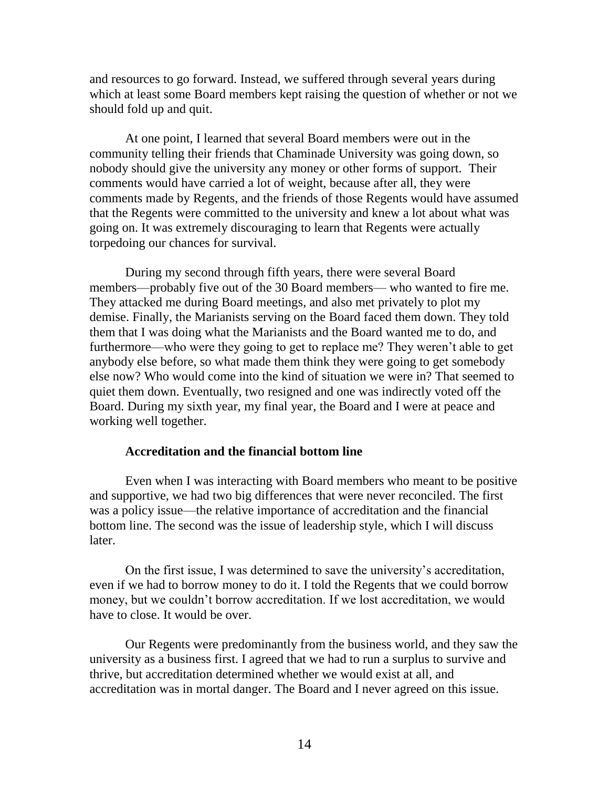and resources to go forward. Instead, we suffered through several years during which at least some Board members kept raising the question of whether or not we should fold up and quit.

At one point, I learned that several Board members were out in the community telling their friends that Chaminade University was going down, so nobody should give the university any money or other forms of support. Their comments would have carried a lot of weight, because after all, they were comments made by Regents, and the friends of those Regents would have assumed that the Regents were committed to the university and knew a lot about what was going on. It was extremely discouraging to learn that Regents were actually torpedoing our chances for survival.

During my second through fifth years, there were several Board members—probably five out of the 30 Board members— who wanted to fire me. They attacked me during Board meetings, and also met privately to plot my demise. Finally, the Marianists serving on the Board faced them down. They told them that I was doing what the Marianists and the Board wanted me to do, and furthermore—who were they going to get to replace me? They weren't able to get anybody else before, so what made them think they were going to get somebody else now? Who would come into the kind of situation we were in? That seemed to quiet them down. Eventually, two resigned and one was indirectly voted off the Board. During my sixth year, my final year, the Board and I were at peace and working well together.

## **Accreditation and the financial bottom line**

Even when I was interacting with Board members who meant to be positive and supportive, we had two big differences that were never reconciled. The first was a policy issue—the relative importance of accreditation and the financial bottom line. The second was the issue of leadership style, which I will discuss later.

On the first issue, I was determined to save the university's accreditation, even if we had to borrow money to do it. I told the Regents that we could borrow money, but we couldn't borrow accreditation. If we lost accreditation, we would have to close. It would be over.

Our Regents were predominantly from the business world, and they saw the university as a business first. I agreed that we had to run a surplus to survive and thrive, but accreditation determined whether we would exist at all, and accreditation was in mortal danger. The Board and I never agreed on this issue.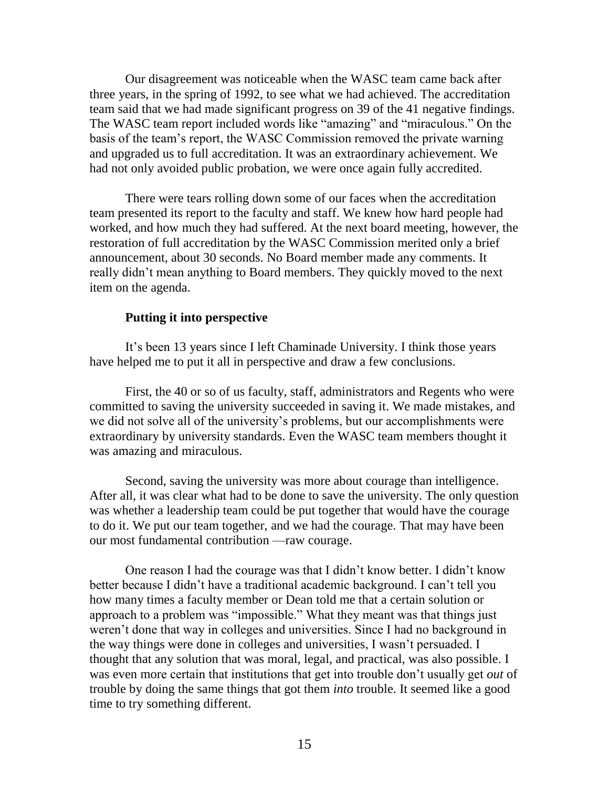Our disagreement was noticeable when the WASC team came back after three years, in the spring of 1992, to see what we had achieved. The accreditation team said that we had made significant progress on 39 of the 41 negative findings. The WASC team report included words like "amazing" and "miraculous." On the basis of the team's report, the WASC Commission removed the private warning and upgraded us to full accreditation. It was an extraordinary achievement. We had not only avoided public probation, we were once again fully accredited.

There were tears rolling down some of our faces when the accreditation team presented its report to the faculty and staff. We knew how hard people had worked, and how much they had suffered. At the next board meeting, however, the restoration of full accreditation by the WASC Commission merited only a brief announcement, about 30 seconds. No Board member made any comments. It really didn't mean anything to Board members. They quickly moved to the next item on the agenda.

## **Putting it into perspective**

It's been 13 years since I left Chaminade University. I think those years have helped me to put it all in perspective and draw a few conclusions.

First, the 40 or so of us faculty, staff, administrators and Regents who were committed to saving the university succeeded in saving it. We made mistakes, and we did not solve all of the university's problems, but our accomplishments were extraordinary by university standards. Even the WASC team members thought it was amazing and miraculous.

Second, saving the university was more about courage than intelligence. After all, it was clear what had to be done to save the university. The only question was whether a leadership team could be put together that would have the courage to do it. We put our team together, and we had the courage. That may have been our most fundamental contribution —raw courage.

One reason I had the courage was that I didn't know better. I didn't know better because I didn't have a traditional academic background. I can't tell you how many times a faculty member or Dean told me that a certain solution or approach to a problem was "impossible." What they meant was that things just weren't done that way in colleges and universities. Since I had no background in the way things were done in colleges and universities, I wasn't persuaded. I thought that any solution that was moral, legal, and practical, was also possible. I was even more certain that institutions that get into trouble don't usually get *out* of trouble by doing the same things that got them *into* trouble. It seemed like a good time to try something different.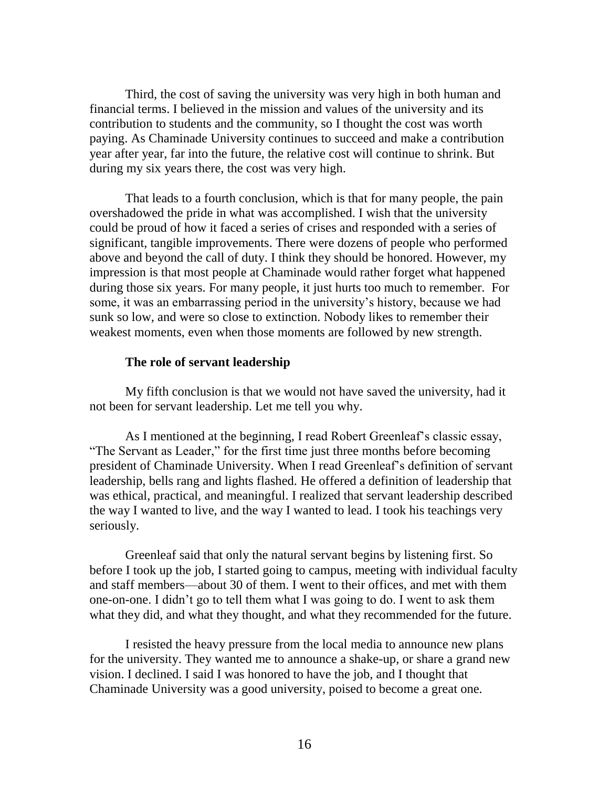Third, the cost of saving the university was very high in both human and financial terms. I believed in the mission and values of the university and its contribution to students and the community, so I thought the cost was worth paying. As Chaminade University continues to succeed and make a contribution year after year, far into the future, the relative cost will continue to shrink. But during my six years there, the cost was very high.

That leads to a fourth conclusion, which is that for many people, the pain overshadowed the pride in what was accomplished. I wish that the university could be proud of how it faced a series of crises and responded with a series of significant, tangible improvements. There were dozens of people who performed above and beyond the call of duty. I think they should be honored. However, my impression is that most people at Chaminade would rather forget what happened during those six years. For many people, it just hurts too much to remember. For some, it was an embarrassing period in the university's history, because we had sunk so low, and were so close to extinction. Nobody likes to remember their weakest moments, even when those moments are followed by new strength.

## **The role of servant leadership**

My fifth conclusion is that we would not have saved the university, had it not been for servant leadership. Let me tell you why.

As I mentioned at the beginning, I read Robert Greenleaf's classic essay, "The Servant as Leader," for the first time just three months before becoming president of Chaminade University. When I read Greenleaf's definition of servant leadership, bells rang and lights flashed. He offered a definition of leadership that was ethical, practical, and meaningful. I realized that servant leadership described the way I wanted to live, and the way I wanted to lead. I took his teachings very seriously.

Greenleaf said that only the natural servant begins by listening first. So before I took up the job, I started going to campus, meeting with individual faculty and staff members—about 30 of them. I went to their offices, and met with them one-on-one. I didn't go to tell them what I was going to do. I went to ask them what they did, and what they thought, and what they recommended for the future.

I resisted the heavy pressure from the local media to announce new plans for the university. They wanted me to announce a shake-up, or share a grand new vision. I declined. I said I was honored to have the job, and I thought that Chaminade University was a good university, poised to become a great one.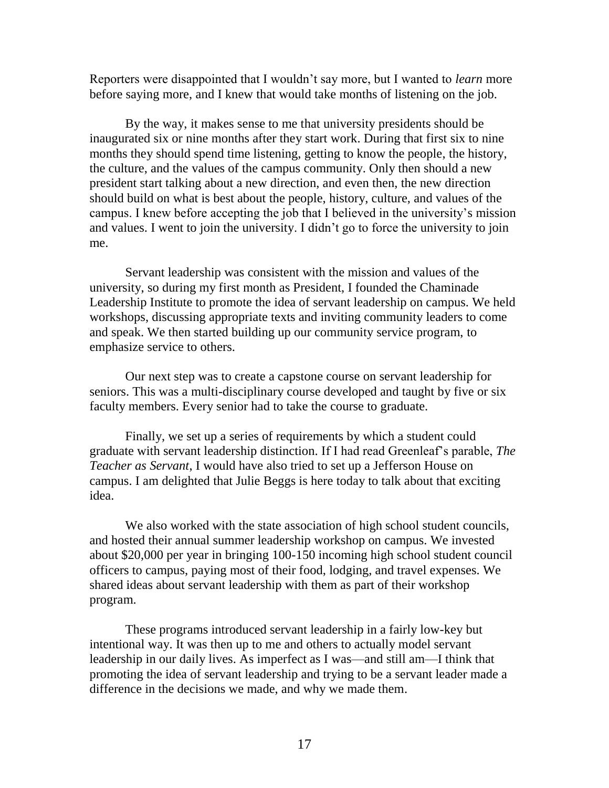Reporters were disappointed that I wouldn't say more, but I wanted to *learn* more before saying more, and I knew that would take months of listening on the job.

By the way, it makes sense to me that university presidents should be inaugurated six or nine months after they start work. During that first six to nine months they should spend time listening, getting to know the people, the history, the culture, and the values of the campus community. Only then should a new president start talking about a new direction, and even then, the new direction should build on what is best about the people, history, culture, and values of the campus. I knew before accepting the job that I believed in the university's mission and values. I went to join the university. I didn't go to force the university to join me.

Servant leadership was consistent with the mission and values of the university, so during my first month as President, I founded the Chaminade Leadership Institute to promote the idea of servant leadership on campus. We held workshops, discussing appropriate texts and inviting community leaders to come and speak. We then started building up our community service program, to emphasize service to others.

Our next step was to create a capstone course on servant leadership for seniors. This was a multi-disciplinary course developed and taught by five or six faculty members. Every senior had to take the course to graduate.

Finally, we set up a series of requirements by which a student could graduate with servant leadership distinction. If I had read Greenleaf's parable, *The Teacher as Servant*, I would have also tried to set up a Jefferson House on campus. I am delighted that Julie Beggs is here today to talk about that exciting idea.

We also worked with the state association of high school student councils, and hosted their annual summer leadership workshop on campus. We invested about \$20,000 per year in bringing 100-150 incoming high school student council officers to campus, paying most of their food, lodging, and travel expenses. We shared ideas about servant leadership with them as part of their workshop program.

These programs introduced servant leadership in a fairly low-key but intentional way. It was then up to me and others to actually model servant leadership in our daily lives. As imperfect as I was—and still am—I think that promoting the idea of servant leadership and trying to be a servant leader made a difference in the decisions we made, and why we made them.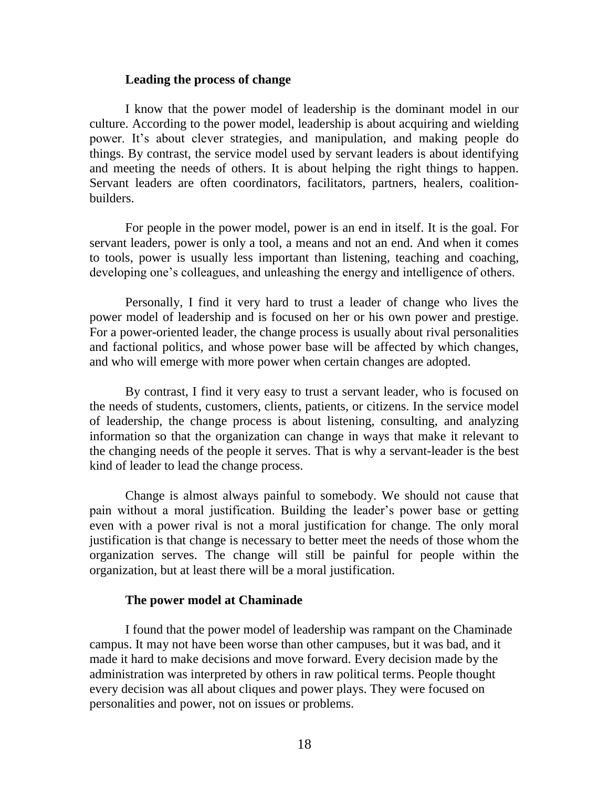#### **Leading the process of change**

I know that the power model of leadership is the dominant model in our culture. According to the power model, leadership is about acquiring and wielding power. It's about clever strategies, and manipulation, and making people do things. By contrast, the service model used by servant leaders is about identifying and meeting the needs of others. It is about helping the right things to happen. Servant leaders are often coordinators, facilitators, partners, healers, coalitionbuilders.

For people in the power model, power is an end in itself. It is the goal. For servant leaders, power is only a tool, a means and not an end. And when it comes to tools, power is usually less important than listening, teaching and coaching, developing one's colleagues, and unleashing the energy and intelligence of others.

Personally, I find it very hard to trust a leader of change who lives the power model of leadership and is focused on her or his own power and prestige. For a power-oriented leader, the change process is usually about rival personalities and factional politics, and whose power base will be affected by which changes, and who will emerge with more power when certain changes are adopted.

By contrast, I find it very easy to trust a servant leader, who is focused on the needs of students, customers, clients, patients, or citizens. In the service model of leadership, the change process is about listening, consulting, and analyzing information so that the organization can change in ways that make it relevant to the changing needs of the people it serves. That is why a servant-leader is the best kind of leader to lead the change process.

Change is almost always painful to somebody. We should not cause that pain without a moral justification. Building the leader's power base or getting even with a power rival is not a moral justification for change. The only moral justification is that change is necessary to better meet the needs of those whom the organization serves. The change will still be painful for people within the organization, but at least there will be a moral justification.

## **The power model at Chaminade**

I found that the power model of leadership was rampant on the Chaminade campus. It may not have been worse than other campuses, but it was bad, and it made it hard to make decisions and move forward. Every decision made by the administration was interpreted by others in raw political terms. People thought every decision was all about cliques and power plays. They were focused on personalities and power, not on issues or problems.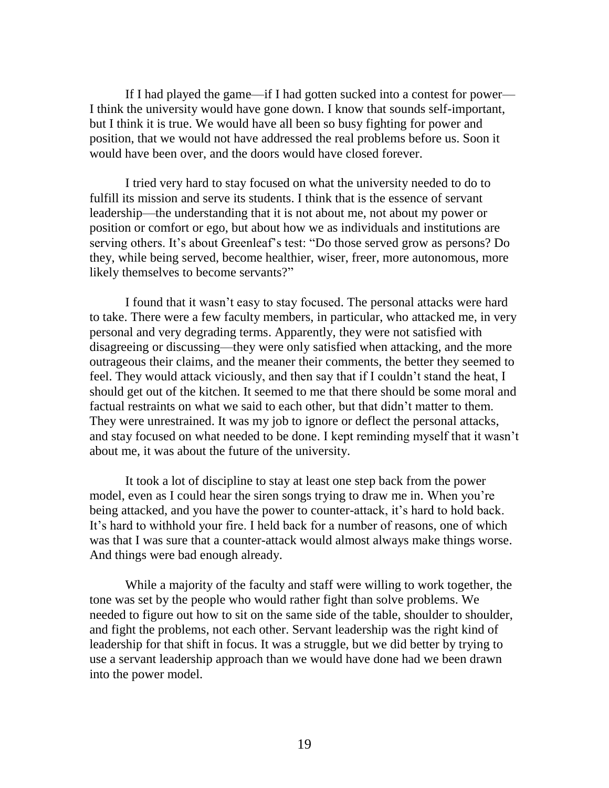If I had played the game—if I had gotten sucked into a contest for power— I think the university would have gone down. I know that sounds self-important, but I think it is true. We would have all been so busy fighting for power and position, that we would not have addressed the real problems before us. Soon it would have been over, and the doors would have closed forever.

I tried very hard to stay focused on what the university needed to do to fulfill its mission and serve its students. I think that is the essence of servant leadership—the understanding that it is not about me, not about my power or position or comfort or ego, but about how we as individuals and institutions are serving others. It's about Greenleaf's test: "Do those served grow as persons? Do they, while being served, become healthier, wiser, freer, more autonomous, more likely themselves to become servants?"

I found that it wasn't easy to stay focused. The personal attacks were hard to take. There were a few faculty members, in particular, who attacked me, in very personal and very degrading terms. Apparently, they were not satisfied with disagreeing or discussing—they were only satisfied when attacking, and the more outrageous their claims, and the meaner their comments, the better they seemed to feel. They would attack viciously, and then say that if I couldn't stand the heat, I should get out of the kitchen. It seemed to me that there should be some moral and factual restraints on what we said to each other, but that didn't matter to them. They were unrestrained. It was my job to ignore or deflect the personal attacks, and stay focused on what needed to be done. I kept reminding myself that it wasn't about me, it was about the future of the university.

It took a lot of discipline to stay at least one step back from the power model, even as I could hear the siren songs trying to draw me in. When you're being attacked, and you have the power to counter-attack, it's hard to hold back. It's hard to withhold your fire. I held back for a number of reasons, one of which was that I was sure that a counter-attack would almost always make things worse. And things were bad enough already.

While a majority of the faculty and staff were willing to work together, the tone was set by the people who would rather fight than solve problems. We needed to figure out how to sit on the same side of the table, shoulder to shoulder, and fight the problems, not each other. Servant leadership was the right kind of leadership for that shift in focus. It was a struggle, but we did better by trying to use a servant leadership approach than we would have done had we been drawn into the power model.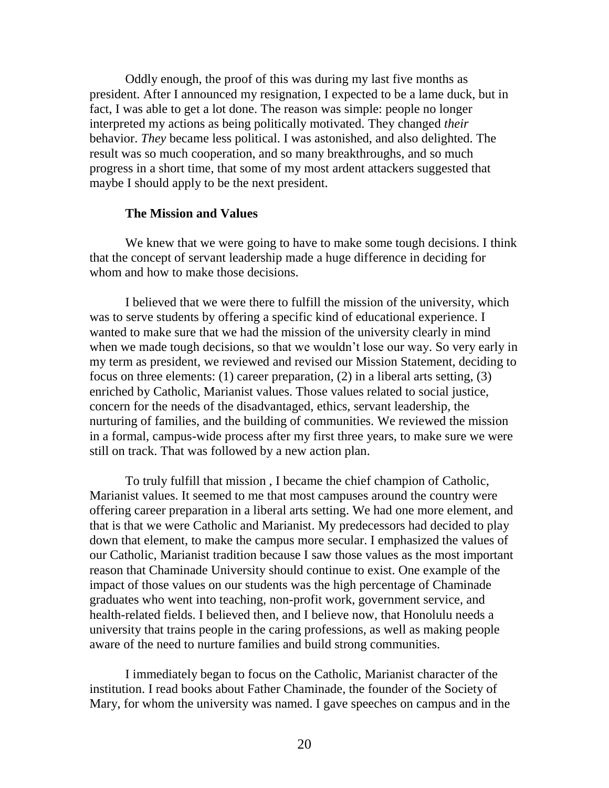Oddly enough, the proof of this was during my last five months as president. After I announced my resignation, I expected to be a lame duck, but in fact, I was able to get a lot done. The reason was simple: people no longer interpreted my actions as being politically motivated. They changed *their* behavior. *They* became less political. I was astonished, and also delighted. The result was so much cooperation, and so many breakthroughs, and so much progress in a short time, that some of my most ardent attackers suggested that maybe I should apply to be the next president.

### **The Mission and Values**

We knew that we were going to have to make some tough decisions. I think that the concept of servant leadership made a huge difference in deciding for whom and how to make those decisions.

I believed that we were there to fulfill the mission of the university, which was to serve students by offering a specific kind of educational experience. I wanted to make sure that we had the mission of the university clearly in mind when we made tough decisions, so that we wouldn't lose our way. So very early in my term as president, we reviewed and revised our Mission Statement, deciding to focus on three elements: (1) career preparation, (2) in a liberal arts setting, (3) enriched by Catholic, Marianist values. Those values related to social justice, concern for the needs of the disadvantaged, ethics, servant leadership, the nurturing of families, and the building of communities. We reviewed the mission in a formal, campus-wide process after my first three years, to make sure we were still on track. That was followed by a new action plan.

To truly fulfill that mission , I became the chief champion of Catholic, Marianist values. It seemed to me that most campuses around the country were offering career preparation in a liberal arts setting. We had one more element, and that is that we were Catholic and Marianist. My predecessors had decided to play down that element, to make the campus more secular. I emphasized the values of our Catholic, Marianist tradition because I saw those values as the most important reason that Chaminade University should continue to exist. One example of the impact of those values on our students was the high percentage of Chaminade graduates who went into teaching, non-profit work, government service, and health-related fields. I believed then, and I believe now, that Honolulu needs a university that trains people in the caring professions, as well as making people aware of the need to nurture families and build strong communities.

I immediately began to focus on the Catholic, Marianist character of the institution. I read books about Father Chaminade, the founder of the Society of Mary, for whom the university was named. I gave speeches on campus and in the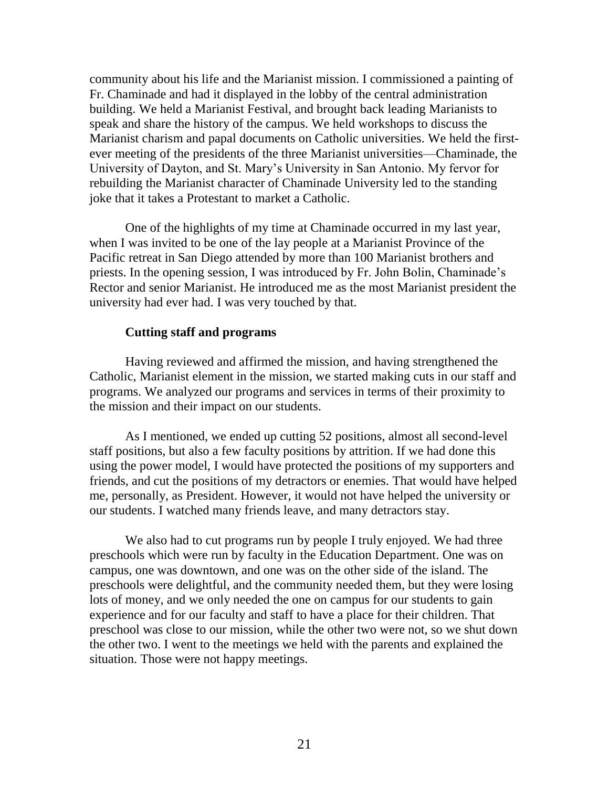community about his life and the Marianist mission. I commissioned a painting of Fr. Chaminade and had it displayed in the lobby of the central administration building. We held a Marianist Festival, and brought back leading Marianists to speak and share the history of the campus. We held workshops to discuss the Marianist charism and papal documents on Catholic universities. We held the firstever meeting of the presidents of the three Marianist universities—Chaminade, the University of Dayton, and St. Mary's University in San Antonio. My fervor for rebuilding the Marianist character of Chaminade University led to the standing joke that it takes a Protestant to market a Catholic.

One of the highlights of my time at Chaminade occurred in my last year, when I was invited to be one of the lay people at a Marianist Province of the Pacific retreat in San Diego attended by more than 100 Marianist brothers and priests. In the opening session, I was introduced by Fr. John Bolin, Chaminade's Rector and senior Marianist. He introduced me as the most Marianist president the university had ever had. I was very touched by that.

## **Cutting staff and programs**

Having reviewed and affirmed the mission, and having strengthened the Catholic, Marianist element in the mission, we started making cuts in our staff and programs. We analyzed our programs and services in terms of their proximity to the mission and their impact on our students.

As I mentioned, we ended up cutting 52 positions, almost all second-level staff positions, but also a few faculty positions by attrition. If we had done this using the power model, I would have protected the positions of my supporters and friends, and cut the positions of my detractors or enemies. That would have helped me, personally, as President. However, it would not have helped the university or our students. I watched many friends leave, and many detractors stay.

We also had to cut programs run by people I truly enjoyed. We had three preschools which were run by faculty in the Education Department. One was on campus, one was downtown, and one was on the other side of the island. The preschools were delightful, and the community needed them, but they were losing lots of money, and we only needed the one on campus for our students to gain experience and for our faculty and staff to have a place for their children. That preschool was close to our mission, while the other two were not, so we shut down the other two. I went to the meetings we held with the parents and explained the situation. Those were not happy meetings.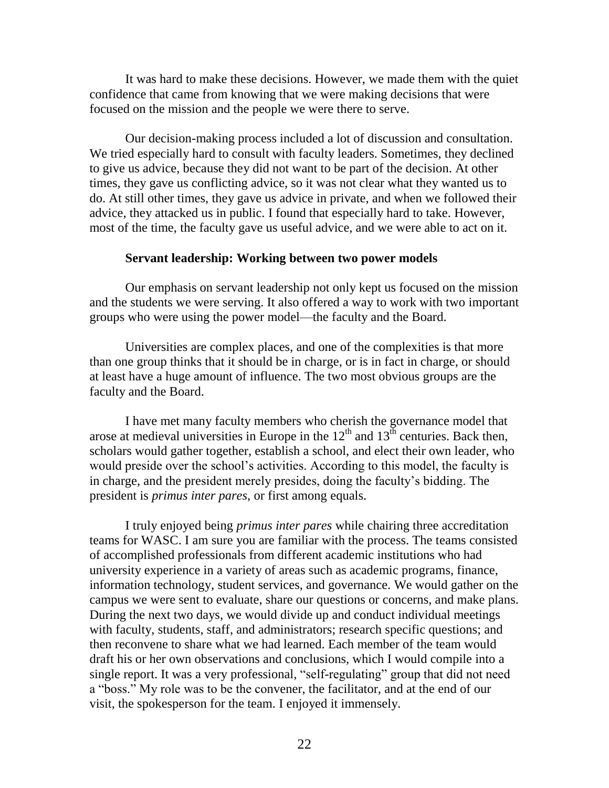It was hard to make these decisions. However, we made them with the quiet confidence that came from knowing that we were making decisions that were focused on the mission and the people we were there to serve.

Our decision-making process included a lot of discussion and consultation. We tried especially hard to consult with faculty leaders. Sometimes, they declined to give us advice, because they did not want to be part of the decision. At other times, they gave us conflicting advice, so it was not clear what they wanted us to do. At still other times, they gave us advice in private, and when we followed their advice, they attacked us in public. I found that especially hard to take. However, most of the time, the faculty gave us useful advice, and we were able to act on it.

## **Servant leadership: Working between two power models**

Our emphasis on servant leadership not only kept us focused on the mission and the students we were serving. It also offered a way to work with two important groups who were using the power model—the faculty and the Board.

Universities are complex places, and one of the complexities is that more than one group thinks that it should be in charge, or is in fact in charge, or should at least have a huge amount of influence. The two most obvious groups are the faculty and the Board.

I have met many faculty members who cherish the governance model that arose at medieval universities in Europe in the  $12<sup>th</sup>$  and  $13<sup>th</sup>$  centuries. Back then, scholars would gather together, establish a school, and elect their own leader, who would preside over the school's activities. According to this model, the faculty is in charge, and the president merely presides, doing the faculty's bidding. The president is *primus inter pares*, or first among equals.

I truly enjoyed being *primus inter pares* while chairing three accreditation teams for WASC. I am sure you are familiar with the process. The teams consisted of accomplished professionals from different academic institutions who had university experience in a variety of areas such as academic programs, finance, information technology, student services, and governance. We would gather on the campus we were sent to evaluate, share our questions or concerns, and make plans. During the next two days, we would divide up and conduct individual meetings with faculty, students, staff, and administrators; research specific questions; and then reconvene to share what we had learned. Each member of the team would draft his or her own observations and conclusions, which I would compile into a single report. It was a very professional, "self-regulating" group that did not need a "boss." My role was to be the convener, the facilitator, and at the end of our visit, the spokesperson for the team. I enjoyed it immensely.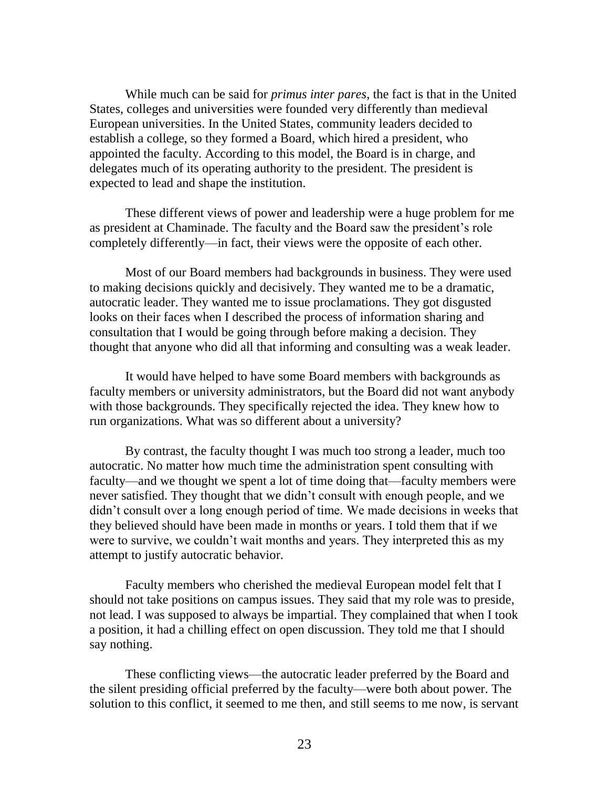While much can be said for *primus inter pares*, the fact is that in the United States, colleges and universities were founded very differently than medieval European universities. In the United States, community leaders decided to establish a college, so they formed a Board, which hired a president, who appointed the faculty. According to this model, the Board is in charge, and delegates much of its operating authority to the president. The president is expected to lead and shape the institution.

These different views of power and leadership were a huge problem for me as president at Chaminade. The faculty and the Board saw the president's role completely differently—in fact, their views were the opposite of each other.

Most of our Board members had backgrounds in business. They were used to making decisions quickly and decisively. They wanted me to be a dramatic, autocratic leader. They wanted me to issue proclamations. They got disgusted looks on their faces when I described the process of information sharing and consultation that I would be going through before making a decision. They thought that anyone who did all that informing and consulting was a weak leader.

It would have helped to have some Board members with backgrounds as faculty members or university administrators, but the Board did not want anybody with those backgrounds. They specifically rejected the idea. They knew how to run organizations. What was so different about a university?

By contrast, the faculty thought I was much too strong a leader, much too autocratic. No matter how much time the administration spent consulting with faculty—and we thought we spent a lot of time doing that—faculty members were never satisfied. They thought that we didn't consult with enough people, and we didn't consult over a long enough period of time. We made decisions in weeks that they believed should have been made in months or years. I told them that if we were to survive, we couldn't wait months and years. They interpreted this as my attempt to justify autocratic behavior.

Faculty members who cherished the medieval European model felt that I should not take positions on campus issues. They said that my role was to preside, not lead. I was supposed to always be impartial. They complained that when I took a position, it had a chilling effect on open discussion. They told me that I should say nothing.

These conflicting views—the autocratic leader preferred by the Board and the silent presiding official preferred by the faculty—were both about power. The solution to this conflict, it seemed to me then, and still seems to me now, is servant